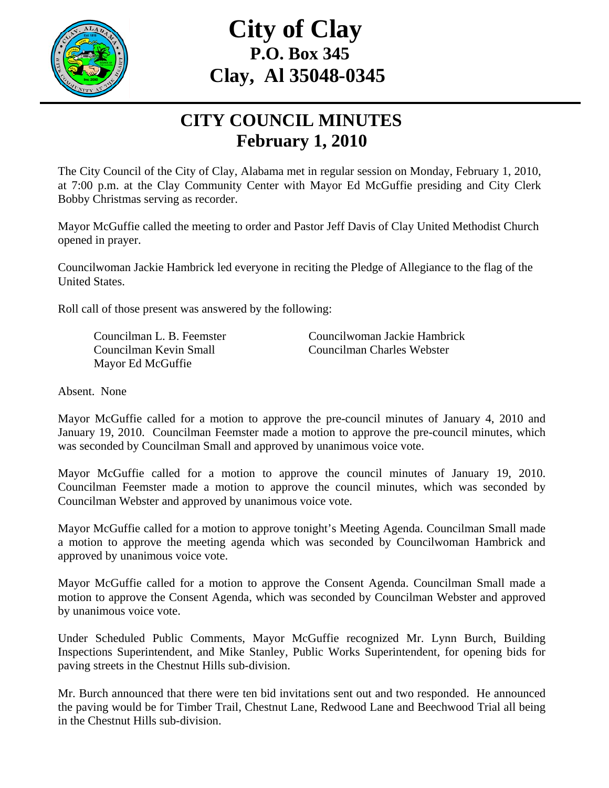

## **City of Clay P.O. Box 345 Clay, Al 35048-0345**

## **CITY COUNCIL MINUTES February 1, 2010**

The City Council of the City of Clay, Alabama met in regular session on Monday, February 1, 2010, at 7:00 p.m. at the Clay Community Center with Mayor Ed McGuffie presiding and City Clerk Bobby Christmas serving as recorder.

Mayor McGuffie called the meeting to order and Pastor Jeff Davis of Clay United Methodist Church opened in prayer.

Councilwoman Jackie Hambrick led everyone in reciting the Pledge of Allegiance to the flag of the United States.

Roll call of those present was answered by the following:

Mayor Ed McGuffie

Councilman L. B. Feemster Councilwoman Jackie Hambrick Councilman Kevin Small Councilman Charles Webster

Absent. None

Mayor McGuffie called for a motion to approve the pre-council minutes of January 4, 2010 and January 19, 2010. Councilman Feemster made a motion to approve the pre-council minutes, which was seconded by Councilman Small and approved by unanimous voice vote.

Mayor McGuffie called for a motion to approve the council minutes of January 19, 2010. Councilman Feemster made a motion to approve the council minutes, which was seconded by Councilman Webster and approved by unanimous voice vote.

Mayor McGuffie called for a motion to approve tonight's Meeting Agenda. Councilman Small made a motion to approve the meeting agenda which was seconded by Councilwoman Hambrick and approved by unanimous voice vote.

Mayor McGuffie called for a motion to approve the Consent Agenda. Councilman Small made a motion to approve the Consent Agenda, which was seconded by Councilman Webster and approved by unanimous voice vote.

Under Scheduled Public Comments, Mayor McGuffie recognized Mr. Lynn Burch, Building Inspections Superintendent, and Mike Stanley, Public Works Superintendent, for opening bids for paving streets in the Chestnut Hills sub-division.

Mr. Burch announced that there were ten bid invitations sent out and two responded. He announced the paving would be for Timber Trail, Chestnut Lane, Redwood Lane and Beechwood Trial all being in the Chestnut Hills sub-division.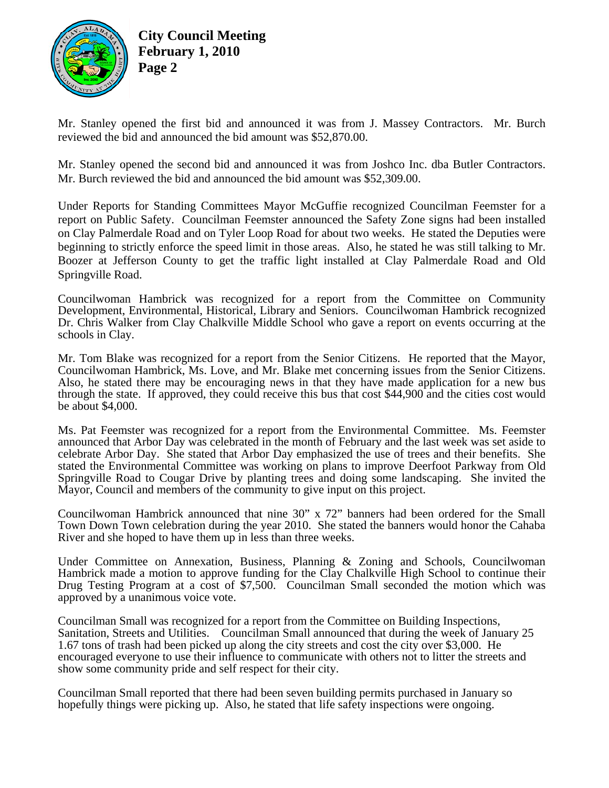

**City Council Meeting February 1, 2010 Page 2** 

Mr. Stanley opened the first bid and announced it was from J. Massey Contractors. Mr. Burch reviewed the bid and announced the bid amount was \$52,870.00.

Mr. Stanley opened the second bid and announced it was from Joshco Inc. dba Butler Contractors. Mr. Burch reviewed the bid and announced the bid amount was \$52,309.00.

Under Reports for Standing Committees Mayor McGuffie recognized Councilman Feemster for a report on Public Safety. Councilman Feemster announced the Safety Zone signs had been installed on Clay Palmerdale Road and on Tyler Loop Road for about two weeks. He stated the Deputies were beginning to strictly enforce the speed limit in those areas. Also, he stated he was still talking to Mr. Boozer at Jefferson County to get the traffic light installed at Clay Palmerdale Road and Old Springville Road.

Councilwoman Hambrick was recognized for a report from the Committee on Community Development, Environmental, Historical, Library and Seniors. Councilwoman Hambrick recognized Dr. Chris Walker from Clay Chalkville Middle School who gave a report on events occurring at the schools in Clay.

Mr. Tom Blake was recognized for a report from the Senior Citizens. He reported that the Mayor, Councilwoman Hambrick, Ms. Love, and Mr. Blake met concerning issues from the Senior Citizens. Also, he stated there may be encouraging news in that they have made application for a new bus through the state. If approved, they could receive this bus that cost \$44,900 and the cities cost would be about \$4,000.

Ms. Pat Feemster was recognized for a report from the Environmental Committee. Ms. Feemster announced that Arbor Day was celebrated in the month of February and the last week was set aside to celebrate Arbor Day. She stated that Arbor Day emphasized the use of trees and their benefits. She stated the Environmental Committee was working on plans to improve Deerfoot Parkway from Old Springville Road to Cougar Drive by planting trees and doing some landscaping. She invited the Mayor, Council and members of the community to give input on this project.

Councilwoman Hambrick announced that nine 30" x 72" banners had been ordered for the Small Town Down Town celebration during the year 2010. She stated the banners would honor the Cahaba River and she hoped to have them up in less than three weeks.

Under Committee on Annexation, Business, Planning & Zoning and Schools, Councilwoman Hambrick made a motion to approve funding for the Clay Chalkville High School to continue their Drug Testing Program at a cost of \$7,500. Councilman Small seconded the motion which was approved by a unanimous voice vote.

Councilman Small was recognized for a report from the Committee on Building Inspections, Sanitation, Streets and Utilities. Councilman Small announced that during the week of January 25 1.67 tons of trash had been picked up along the city streets and cost the city over \$3,000. He encouraged everyone to use their influence to communicate with others not to litter the streets and show some community pride and self respect for their city.

Councilman Small reported that there had been seven building permits purchased in January so hopefully things were picking up. Also, he stated that life safety inspections were ongoing.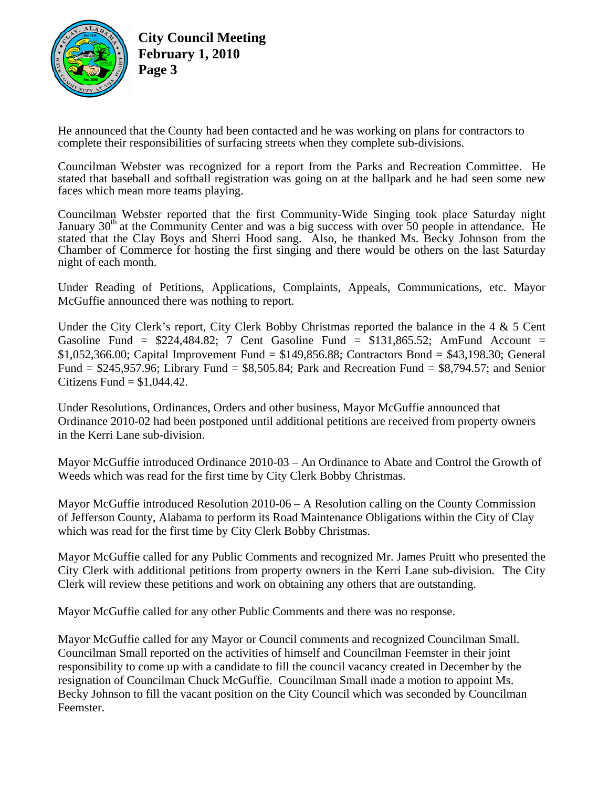

**City Council Meeting February 1, 2010 Page 3** 

He announced that the County had been contacted and he was working on plans for contractors to complete their responsibilities of surfacing streets when they complete sub-divisions.

Councilman Webster was recognized for a report from the Parks and Recreation Committee. He stated that baseball and softball registration was going on at the ballpark and he had seen some new faces which mean more teams playing.

Councilman Webster reported that the first Community-Wide Singing took place Saturday night January 30<sup>th</sup> at the Community Center and was a big success with over 50 people in attendance. He stated that the Clay Boys and Sherri Hood sang. Also, he thanked Ms. Becky Johnson from the Chamber of Commerce for hosting the first singing and there would be others on the last Saturday night of each month.

Under Reading of Petitions, Applications, Complaints, Appeals, Communications, etc. Mayor McGuffie announced there was nothing to report.

Under the City Clerk's report, City Clerk Bobby Christmas reported the balance in the 4 & 5 Cent Gasoline Fund =  $$224,484.82$ ; 7 Cent Gasoline Fund =  $$131,865.52$ ; AmFund Account = \$1,052,366.00; Capital Improvement Fund = \$149,856.88; Contractors Bond = \$43,198.30; General Fund =  $$245,957.96$ ; Library Fund =  $$8,505.84$ ; Park and Recreation Fund =  $$8,794.57$ ; and Senior Citizens Fund  $= $1,044.42$ .

Under Resolutions, Ordinances, Orders and other business, Mayor McGuffie announced that Ordinance 2010-02 had been postponed until additional petitions are received from property owners in the Kerri Lane sub-division.

Mayor McGuffie introduced Ordinance 2010-03 – An Ordinance to Abate and Control the Growth of Weeds which was read for the first time by City Clerk Bobby Christmas.

Mayor McGuffie introduced Resolution 2010-06 – A Resolution calling on the County Commission of Jefferson County, Alabama to perform its Road Maintenance Obligations within the City of Clay which was read for the first time by City Clerk Bobby Christmas.

Mayor McGuffie called for any Public Comments and recognized Mr. James Pruitt who presented the City Clerk with additional petitions from property owners in the Kerri Lane sub-division. The City Clerk will review these petitions and work on obtaining any others that are outstanding.

Mayor McGuffie called for any other Public Comments and there was no response.

Mayor McGuffie called for any Mayor or Council comments and recognized Councilman Small. Councilman Small reported on the activities of himself and Councilman Feemster in their joint responsibility to come up with a candidate to fill the council vacancy created in December by the resignation of Councilman Chuck McGuffie. Councilman Small made a motion to appoint Ms. Becky Johnson to fill the vacant position on the City Council which was seconded by Councilman Feemster.